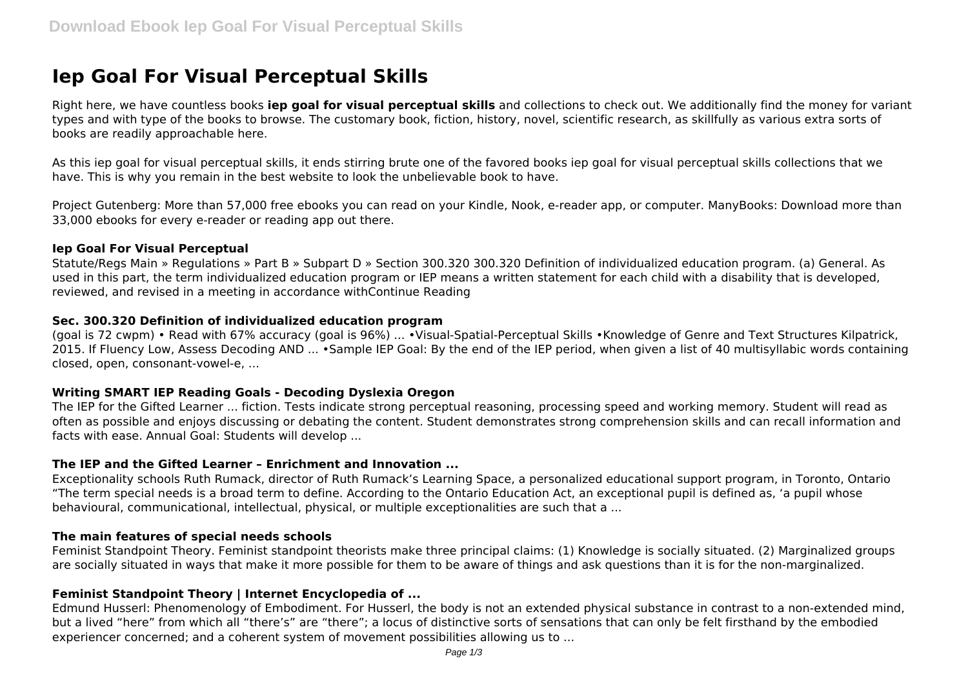# **Iep Goal For Visual Perceptual Skills**

Right here, we have countless books **iep goal for visual perceptual skills** and collections to check out. We additionally find the money for variant types and with type of the books to browse. The customary book, fiction, history, novel, scientific research, as skillfully as various extra sorts of books are readily approachable here.

As this iep goal for visual perceptual skills, it ends stirring brute one of the favored books iep goal for visual perceptual skills collections that we have. This is why you remain in the best website to look the unbelievable book to have.

Project Gutenberg: More than 57,000 free ebooks you can read on your Kindle, Nook, e-reader app, or computer. ManyBooks: Download more than 33,000 ebooks for every e-reader or reading app out there.

#### **Iep Goal For Visual Perceptual**

Statute/Regs Main » Regulations » Part B » Subpart D » Section 300.320 300.320 Definition of individualized education program. (a) General. As used in this part, the term individualized education program or IEP means a written statement for each child with a disability that is developed, reviewed, and revised in a meeting in accordance withContinue Reading

#### **Sec. 300.320 Definition of individualized education program**

(goal is 72 cwpm) • Read with 67% accuracy (goal is 96%) ... •Visual-Spatial-Perceptual Skills •Knowledge of Genre and Text Structures Kilpatrick, 2015. If Fluency Low, Assess Decoding AND ... •Sample IEP Goal: By the end of the IEP period, when given a list of 40 multisyllabic words containing closed, open, consonant-vowel-e, ...

#### **Writing SMART IEP Reading Goals - Decoding Dyslexia Oregon**

The IEP for the Gifted Learner ... fiction. Tests indicate strong perceptual reasoning, processing speed and working memory. Student will read as often as possible and enjoys discussing or debating the content. Student demonstrates strong comprehension skills and can recall information and facts with ease. Annual Goal: Students will develop ...

#### **The IEP and the Gifted Learner – Enrichment and Innovation ...**

Exceptionality schools Ruth Rumack, director of Ruth Rumack's Learning Space, a personalized educational support program, in Toronto, Ontario "The term special needs is a broad term to define. According to the Ontario Education Act, an exceptional pupil is defined as, 'a pupil whose behavioural, communicational, intellectual, physical, or multiple exceptionalities are such that a ...

#### **The main features of special needs schools**

Feminist Standpoint Theory. Feminist standpoint theorists make three principal claims: (1) Knowledge is socially situated. (2) Marginalized groups are socially situated in ways that make it more possible for them to be aware of things and ask questions than it is for the non-marginalized.

#### **Feminist Standpoint Theory | Internet Encyclopedia of ...**

Edmund Husserl: Phenomenology of Embodiment. For Husserl, the body is not an extended physical substance in contrast to a non-extended mind, but a lived "here" from which all "there's" are "there"; a locus of distinctive sorts of sensations that can only be felt firsthand by the embodied experiencer concerned; and a coherent system of movement possibilities allowing us to ...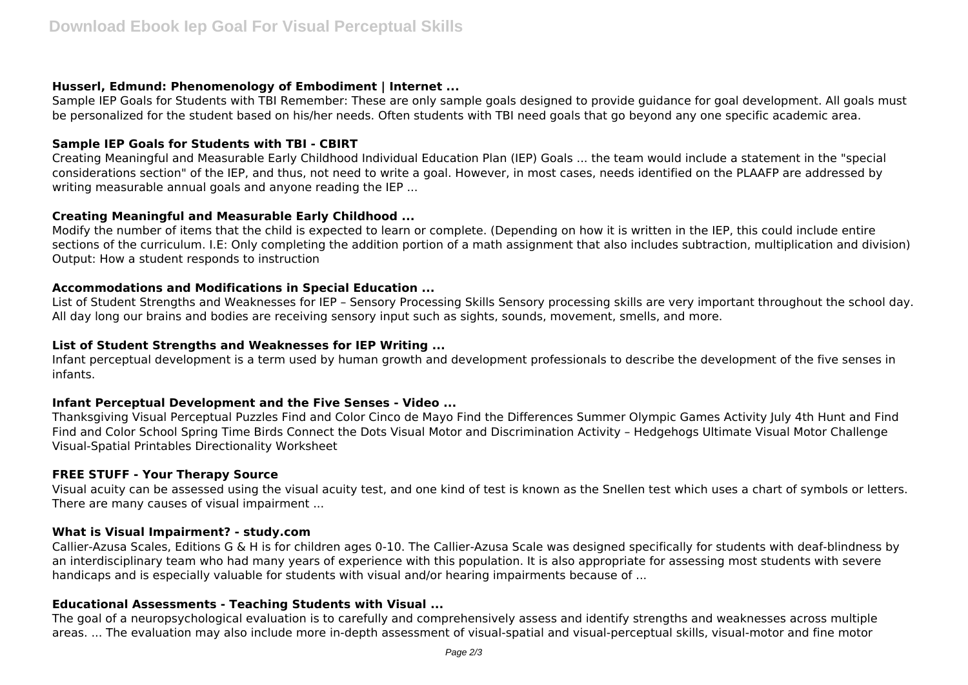#### **Husserl, Edmund: Phenomenology of Embodiment | Internet ...**

Sample IEP Goals for Students with TBI Remember: These are only sample goals designed to provide guidance for goal development. All goals must be personalized for the student based on his/her needs. Often students with TBI need goals that go beyond any one specific academic area.

# **Sample IEP Goals for Students with TBI - CBIRT**

Creating Meaningful and Measurable Early Childhood Individual Education Plan (IEP) Goals ... the team would include a statement in the "special considerations section" of the IEP, and thus, not need to write a goal. However, in most cases, needs identified on the PLAAFP are addressed by writing measurable annual goals and anyone reading the IEP ...

# **Creating Meaningful and Measurable Early Childhood ...**

Modify the number of items that the child is expected to learn or complete. (Depending on how it is written in the IEP, this could include entire sections of the curriculum. I.E: Only completing the addition portion of a math assignment that also includes subtraction, multiplication and division) Output: How a student responds to instruction

# **Accommodations and Modifications in Special Education ...**

List of Student Strengths and Weaknesses for IEP – Sensory Processing Skills Sensory processing skills are very important throughout the school day. All day long our brains and bodies are receiving sensory input such as sights, sounds, movement, smells, and more.

# **List of Student Strengths and Weaknesses for IEP Writing ...**

Infant perceptual development is a term used by human growth and development professionals to describe the development of the five senses in infants.

# **Infant Perceptual Development and the Five Senses - Video ...**

Thanksgiving Visual Perceptual Puzzles Find and Color Cinco de Mayo Find the Differences Summer Olympic Games Activity July 4th Hunt and Find Find and Color School Spring Time Birds Connect the Dots Visual Motor and Discrimination Activity – Hedgehogs Ultimate Visual Motor Challenge Visual-Spatial Printables Directionality Worksheet

#### **FREE STUFF - Your Therapy Source**

Visual acuity can be assessed using the visual acuity test, and one kind of test is known as the Snellen test which uses a chart of symbols or letters. There are many causes of visual impairment ...

#### **What is Visual Impairment? - study.com**

Callier-Azusa Scales, Editions G & H is for children ages 0-10. The Callier-Azusa Scale was designed specifically for students with deaf-blindness by an interdisciplinary team who had many years of experience with this population. It is also appropriate for assessing most students with severe handicaps and is especially valuable for students with visual and/or hearing impairments because of ...

# **Educational Assessments - Teaching Students with Visual ...**

The goal of a neuropsychological evaluation is to carefully and comprehensively assess and identify strengths and weaknesses across multiple areas. ... The evaluation may also include more in-depth assessment of visual-spatial and visual-perceptual skills, visual-motor and fine motor